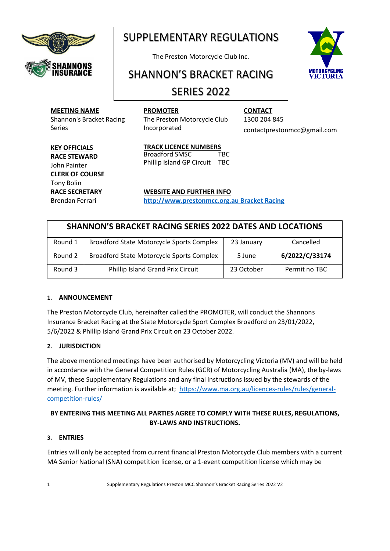

# SUPPLEMENTARY REGULATIONS

The Preston Motorcycle Club Inc.

# SHANNON'S BRACKET RACING

# SERIES 2022

## **MEETING NAME**

Shannon's Bracket Racing Series

**PROMOTER** The Preston Motorcycle Club Incorporated

**CONTACT** 1300 204 845 [contactprestonmcc@gmail.com](mailto:contactprestonmcc@gmail.com)

#### **KEY OFFICIALS RACE STEWARD**  John Painter **CLERK OF COURSE** Tony Bolin **RACE SECRETARY** Brendan Ferrari

**TRACK LICENCE NUMBERS** Broadford SMSC TBC Phillip Island GP Circuit TBC

**WEBSITE AND FURTHER INFO**

**[http://www.prestonmcc.org.au Bracket Racing](http://www.prestonmcc.org.au/about/events-series/bracket-racing/)**

# **SHANNON'S BRACKET RACING SERIES 2022 DATES AND LOCATIONS** Round 1 | Broadford State Motorcycle Sports Complex | 23 January | Cancelled Round 2 | Broadford State Motorcycle Sports Complex | 5 June | 6/2022/C/33174 Round 3 Phillip Island Grand Prix Circuit 23 October Permit no TBC

## **1. ANNOUNCEMENT**

The Preston Motorcycle Club, hereinafter called the PROMOTER, will conduct the Shannons Insurance Bracket Racing at the State Motorcycle Sport Complex Broadford on 23/01/2022, 5/6/2022 & Phillip Island Grand Prix Circuit on 23 October 2022.

## **2. JURISDICTION**

The above mentioned meetings have been authorised by Motorcycling Victoria (MV) and will be held in accordance with the General Competition Rules (GCR) of Motorcycling Australia (MA), the by-laws of MV, these Supplementary Regulations and any final instructions issued by the stewards of the meeting. Further information is available at; [https://www.ma.org.au/licences-rules/rules/general](https://www.ma.org.au/licences-rules/rules/general-competition-rules/)[competition-rules/](https://www.ma.org.au/licences-rules/rules/general-competition-rules/)

# **BY ENTERING THIS MEETING ALL PARTIES AGREE TO COMPLY WITH THESE RULES, REGULATIONS, BY-LAWS AND INSTRUCTIONS.**

## **3. ENTRIES**

Entries will only be accepted from current financial Preston Motorcycle Club members with a current MA Senior National (SNA) competition license, or a 1-event competition license which may be

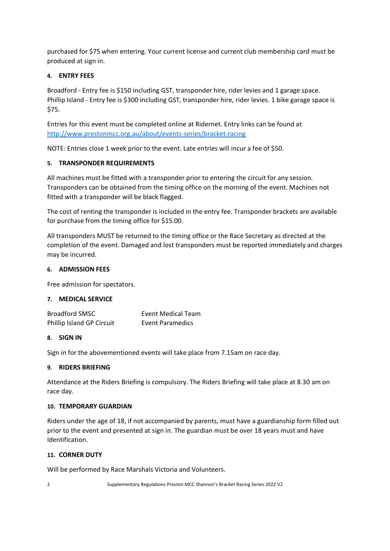purchased for \$75 when entering. Your current license and current club membership card must be produced at sign in.

#### **4. ENTRY FEES**

Broadford - Entry fee is \$150 including GST, transponder hire, rider levies and 1 garage space. Phillip Island - Entry fee is \$300 including GST, transponder hire, rider levies. 1 bike garage space is \$75.

Entries for this event must be completed online at Ridernet. Entry links can be found at <http://www.prestonmcc.org.au/about/events-series/bracket-racing>

NOTE: Entries close 1 week prior to the event. Late entries will incur a fee of \$50.

#### **5. TRANSPONDER REQUIREMENTS**

All machines must be fitted with a transponder prior to entering the circuit for any session. Transponders can be obtained from the timing office on the morning of the event. Machines not fitted with a transponder will be black flagged.

The cost of renting the transponder is included in the entry fee. Transponder brackets are available for purchase from the timing office for \$15.00.

All transponders MUST be returned to the timing office or the Race Secretary as directed at the completion of the event. Damaged and lost transponders must be reported immediately and charges may be incurred.

#### **6. ADMISSION FEES**

Free admission for spectators.

#### **7. MEDICAL SERVICE**

| <b>Broadford SMSC</b>     | Event Medical Team      |
|---------------------------|-------------------------|
| Phillip Island GP Circuit | <b>Event Paramedics</b> |

#### **8. SIGN IN**

Sign in for the abovementioned events will take place from 7.15am on race day.

#### **9. RIDERS BRIEFING**

Attendance at the Riders Briefing is compulsory. The Riders Briefing will take place at 8.30 am on race day.

#### **10. TEMPORARY GUARDIAN**

Riders under the age of 18, if not accompanied by parents, must have a guardianship form filled out prior to the event and presented at sign in. The guardian must be over 18 years must and have Identification.

#### **11. CORNER DUTY**

Will be performed by Race Marshals Victoria and Volunteers.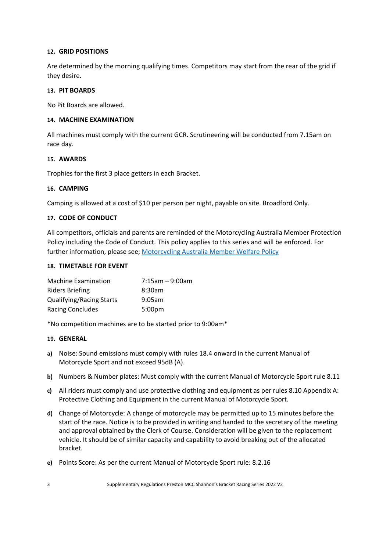#### **12. GRID POSITIONS**

Are determined by the morning qualifying times. Competitors may start from the rear of the grid if they desire.

#### **13. PIT BOARDS**

No Pit Boards are allowed.

#### **14. MACHINE EXAMINATION**

All machines must comply with the current GCR. Scrutineering will be conducted from 7.15am on race day.

#### **15. AWARDS**

Trophies for the first 3 place getters in each Bracket.

#### **16. CAMPING**

Camping is allowed at a cost of \$10 per person per night, payable on site. Broadford Only.

#### **17. CODE OF CONDUCT**

All competitors, officials and parents are reminded of the Motorcycling Australia Member Protection Policy including the Code of Conduct. This policy applies to this series and will be enforced. For further information, please see; [Motorcycling Australia Member Welfare Policy](https://drive.google.com/file/d/1H8jRtfc3ZRDkT6m7KWiKM8PupiMI8GaD/view)

#### **18. TIMETABLE FOR EVENT**

| <b>Machine Examination</b>      | $7:15$ am - 9:00am |
|---------------------------------|--------------------|
| Riders Briefing                 | 8:30am             |
| <b>Qualifying/Racing Starts</b> | 9:05am             |
| <b>Racing Concludes</b>         | 5:00 <sub>pm</sub> |

\*No competition machines are to be started prior to 9:00am\*

#### **19. GENERAL**

- **a)** Noise: Sound emissions must comply with rules 18.4 onward in the current Manual of Motorcycle Sport and not exceed 95dB (A).
- **b)** Numbers & Number plates: Must comply with the current Manual of Motorcycle Sport rule 8.11
- **c)** All riders must comply and use protective clothing and equipment as per rules 8.10 Appendix A: Protective Clothing and Equipment in the current Manual of Motorcycle Sport.
- **d)** Change of Motorcycle: A change of motorcycle may be permitted up to 15 minutes before the start of the race. Notice is to be provided in writing and handed to the secretary of the meeting and approval obtained by the Clerk of Course. Consideration will be given to the replacement vehicle. It should be of similar capacity and capability to avoid breaking out of the allocated bracket.
- **e)** Points Score: As per the current Manual of Motorcycle Sport rule: 8.2.16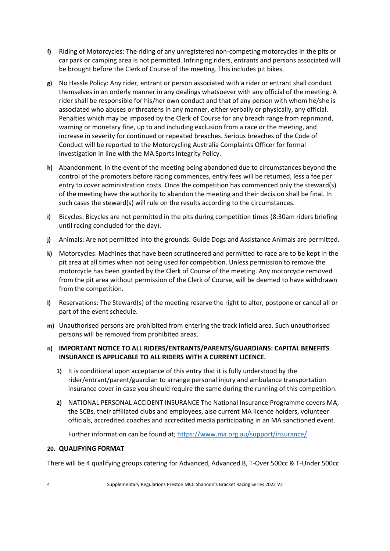- **f)** Riding of Motorcycles: The riding of any unregistered non-competing motorcycles in the pits or car park or camping area is not permitted. Infringing riders, entrants and persons associated will be brought before the Clerk of Course of the meeting. This includes pit bikes.
- **g)** No Hassle Policy: Any rider, entrant or person associated with a rider or entrant shall conduct themselves in an orderly manner in any dealings whatsoever with any official of the meeting. A rider shall be responsible for his/her own conduct and that of any person with whom he/she is associated who abuses or threatens in any manner, either verbally or physically, any official. Penalties which may be imposed by the Clerk of Course for any breach range from reprimand, warning or monetary fine, up to and including exclusion from a race or the meeting, and increase in severity for continued or repeated breaches. Serious breaches of the Code of Conduct will be reported to the Motorcycling Australia Complaints Officer for formal investigation in line with the MA Sports Integrity Policy.
- **h)** Abandonment: In the event of the meeting being abandoned due to circumstances beyond the control of the promoters before racing commences, entry fees will be returned, less a fee per entry to cover administration costs. Once the competition has commenced only the steward(s) of the meeting have the authority to abandon the meeting and their decision shall be final. In such cases the steward(s) will rule on the results according to the circumstances.
- **i)** Bicycles: Bicycles are not permitted in the pits during competition times (8:30am riders briefing until racing concluded for the day).
- **j)** Animals: Are not permitted into the grounds. Guide Dogs and Assistance Animals are permitted.
- **k)** Motorcycles: Machines that have been scrutineered and permitted to race are to be kept in the pit area at all times when not being used for competition. Unless permission to remove the motorcycle has been granted by the Clerk of Course of the meeting. Any motorcycle removed from the pit area without permission of the Clerk of Course, will be deemed to have withdrawn from the competition.
- **l)** Reservations: The Steward(s) of the meeting reserve the right to alter, postpone or cancel all or part of the event schedule.
- **m)** Unauthorised persons are prohibited from entering the track infield area. Such unauthorised persons will be removed from prohibited areas.

#### **n) IMPORTANT NOTICE TO ALL RIDERS/ENTRANTS/PARENTS/GUARDIANS: CAPITAL BENEFITS INSURANCE IS APPLICABLE TO ALL RIDERS WITH A CURRENT LICENCE.**

- **1)** It is conditional upon acceptance of this entry that it is fully understood by the rider/entrant/parent/guardian to arrange personal injury and ambulance transportation insurance cover in case you should require the same during the running of this competition.
- **2)** NATIONAL PERSONAL ACCIDENT INSURANCE The National Insurance Programme covers MA, the SCBs, their affiliated clubs and employees, also current MA licence holders, volunteer officials, accredited coaches and accredited media participating in an MA sanctioned event.

Further information can be found at;<https://www.ma.org.au/support/insurance/>

#### **20. QUALIFYING FORMAT**

There will be 4 qualifying groups catering for Advanced, Advanced B, T-Over 500cc & T-Under 500cc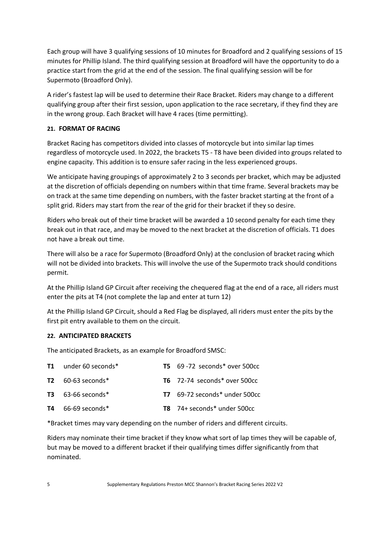Each group will have 3 qualifying sessions of 10 minutes for Broadford and 2 qualifying sessions of 15 minutes for Phillip Island. The third qualifying session at Broadford will have the opportunity to do a practice start from the grid at the end of the session. The final qualifying session will be for Supermoto (Broadford Only).

A rider's fastest lap will be used to determine their Race Bracket. Riders may change to a different qualifying group after their first session, upon application to the race secretary, if they find they are in the wrong group. Each Bracket will have 4 races (time permitting).

#### **21. FORMAT OF RACING**

Bracket Racing has competitors divided into classes of motorcycle but into similar lap times regardless of motorcycle used. In 2022, the brackets T5 - T8 have been divided into groups related to engine capacity. This addition is to ensure safer racing in the less experienced groups.

We anticipate having groupings of approximately 2 to 3 seconds per bracket, which may be adjusted at the discretion of officials depending on numbers within that time frame. Several brackets may be on track at the same time depending on numbers, with the faster bracket starting at the front of a split grid. Riders may start from the rear of the grid for their bracket if they so desire.

Riders who break out of their time bracket will be awarded a 10 second penalty for each time they break out in that race, and may be moved to the next bracket at the discretion of officials. T1 does not have a break out time.

There will also be a race for Supermoto (Broadford Only) at the conclusion of bracket racing which will not be divided into brackets. This will involve the use of the Supermoto track should conditions permit.

At the Phillip Island GP Circuit after receiving the chequered flag at the end of a race, all riders must enter the pits at T4 (not complete the lap and enter at turn 12)

At the Phillip Island GP Circuit, should a Red Flag be displayed, all riders must enter the pits by the first pit entry available to them on the circuit.

#### **22. ANTICIPATED BRACKETS**

The anticipated Brackets, as an example for Broadford SMSC:

| <b>T1</b> under 60 seconds* | $T5$ 69 -72 seconds* over 500cc      |
|-----------------------------|--------------------------------------|
| $T2 \quad 60-63$ seconds*   | T6 72-74 seconds* over 500cc         |
| $T3$ 63-66 seconds*         | <b>T7</b> 69-72 seconds* under 500cc |
| $T4$ 66-69 seconds*         | $T8$ 74+ seconds* under 500cc        |

\*Bracket times may vary depending on the number of riders and different circuits.

Riders may nominate their time bracket if they know what sort of lap times they will be capable of, but may be moved to a different bracket if their qualifying times differ significantly from that nominated.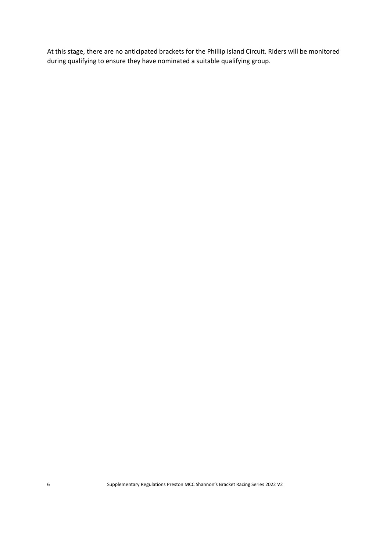At this stage, there are no anticipated brackets for the Phillip Island Circuit. Riders will be monitored during qualifying to ensure they have nominated a suitable qualifying group.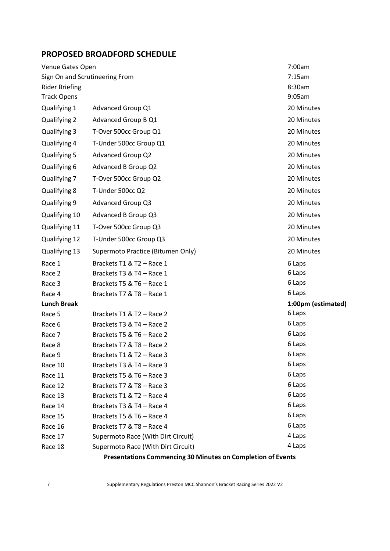| <b>PROPOSED BROADFORD SCHEDULE</b> |                                                             |                    |  |  |
|------------------------------------|-------------------------------------------------------------|--------------------|--|--|
| Venue Gates Open                   |                                                             | 7:00am             |  |  |
| Sign On and Scrutineering From     |                                                             | 7:15am             |  |  |
| <b>Rider Briefing</b>              |                                                             | 8:30am             |  |  |
| <b>Track Opens</b>                 |                                                             | 9:05am             |  |  |
| Qualifying 1                       | Advanced Group Q1                                           | 20 Minutes         |  |  |
| Qualifying 2                       | Advanced Group B Q1                                         | 20 Minutes         |  |  |
| Qualifying 3                       | T-Over 500cc Group Q1                                       | 20 Minutes         |  |  |
| Qualifying 4                       | T-Under 500cc Group Q1                                      | 20 Minutes         |  |  |
| Qualifying 5                       | <b>Advanced Group Q2</b>                                    | 20 Minutes         |  |  |
| Qualifying 6                       | Advanced B Group Q2                                         | 20 Minutes         |  |  |
| Qualifying 7                       | T-Over 500cc Group Q2                                       | 20 Minutes         |  |  |
| Qualifying 8                       | T-Under 500cc Q2                                            | 20 Minutes         |  |  |
| Qualifying 9                       | Advanced Group Q3                                           | 20 Minutes         |  |  |
| Qualifying 10                      | Advanced B Group Q3                                         | 20 Minutes         |  |  |
| Qualifying 11                      | T-Over 500cc Group Q3                                       | 20 Minutes         |  |  |
| Qualifying 12                      | T-Under 500cc Group Q3                                      | 20 Minutes         |  |  |
| Qualifying 13                      | Supermoto Practice (Bitumen Only)                           | 20 Minutes         |  |  |
| Race 1                             | Brackets T1 & T2 - Race 1                                   | 6 Laps             |  |  |
| Race 2                             | Brackets T3 & T4 - Race 1                                   | 6 Laps             |  |  |
| Race 3                             | Brackets T5 & T6 - Race 1                                   | 6 Laps             |  |  |
| Race 4                             | Brackets T7 & T8 - Race 1                                   | 6 Laps             |  |  |
| <b>Lunch Break</b>                 |                                                             | 1:00pm (estimated) |  |  |
| Race 5                             | Brackets T1 & T2 - Race 2                                   | 6 Laps             |  |  |
| Race 6                             | Brackets T3 & T4 - Race 2                                   | 6 Laps             |  |  |
| Race 7                             | Brackets T5 & T6 - Race 2                                   | 6 Laps             |  |  |
| Race 8                             | Brackets T7 & T8 - Race 2                                   | 6 Laps             |  |  |
| Race 9                             | Brackets T1 & T2 - Race 3                                   | 6 Laps             |  |  |
| Race 10                            | Brackets T3 & T4 - Race 3                                   | 6 Laps             |  |  |
| Race 11                            | Brackets T5 & T6 - Race 3                                   | 6 Laps             |  |  |
| Race 12                            | Brackets T7 & T8 - Race 3                                   | 6 Laps             |  |  |
| Race 13                            | Brackets T1 & T2 - Race 4                                   | 6 Laps             |  |  |
| Race 14                            | Brackets T3 & T4 - Race 4                                   | 6 Laps             |  |  |
| Race 15                            | Brackets T5 & T6 - Race 4                                   | 6 Laps             |  |  |
| Race 16                            | Brackets T7 & T8 - Race 4                                   | 6 Laps             |  |  |
| Race 17                            | Supermoto Race (With Dirt Circuit)                          | 4 Laps             |  |  |
| Race 18                            | Supermoto Race (With Dirt Circuit)                          | 4 Laps             |  |  |
|                                    | Presentations Commencing 30 Minutes on Completion of Events |                    |  |  |